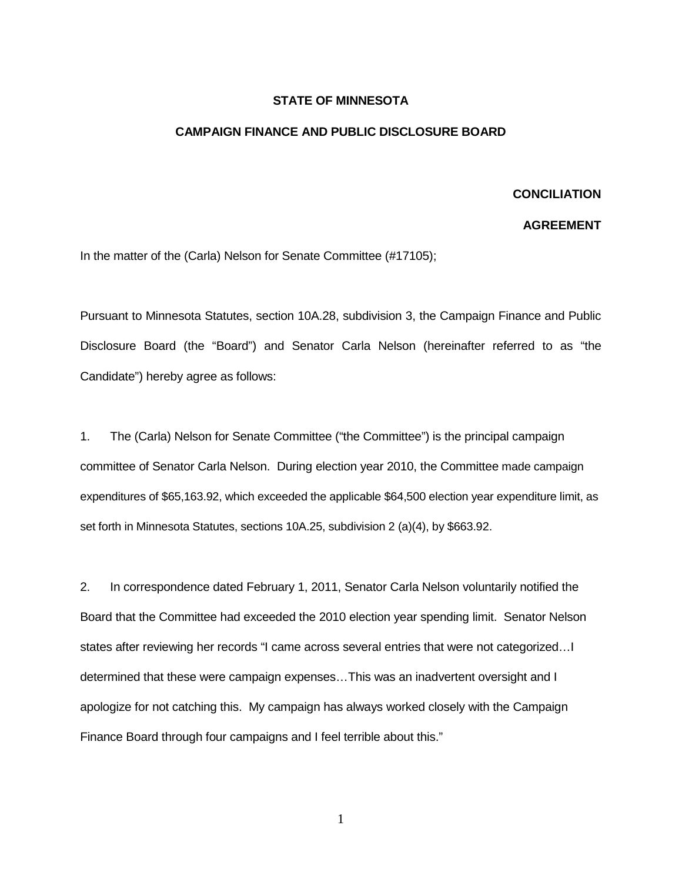## **STATE OF MINNESOTA**

## **CAMPAIGN FINANCE AND PUBLIC DISCLOSURE BOARD**

## **CONCILIATION**

## **AGREEMENT**

In the matter of the (Carla) Nelson for Senate Committee (#17105);

Pursuant to Minnesota Statutes, section 10A.28, subdivision 3, the Campaign Finance and Public Disclosure Board (the "Board") and Senator Carla Nelson (hereinafter referred to as "the Candidate") hereby agree as follows:

1. The (Carla) Nelson for Senate Committee ("the Committee") is the principal campaign committee of Senator Carla Nelson. During election year 2010, the Committee made campaign expenditures of \$65,163.92, which exceeded the applicable \$64,500 election year expenditure limit, as set forth in Minnesota Statutes, sections 10A.25, subdivision 2 (a)(4), by \$663.92.

2. In correspondence dated February 1, 2011, Senator Carla Nelson voluntarily notified the Board that the Committee had exceeded the 2010 election year spending limit. Senator Nelson states after reviewing her records "I came across several entries that were not categorized…I determined that these were campaign expenses…This was an inadvertent oversight and I apologize for not catching this. My campaign has always worked closely with the Campaign Finance Board through four campaigns and I feel terrible about this."

1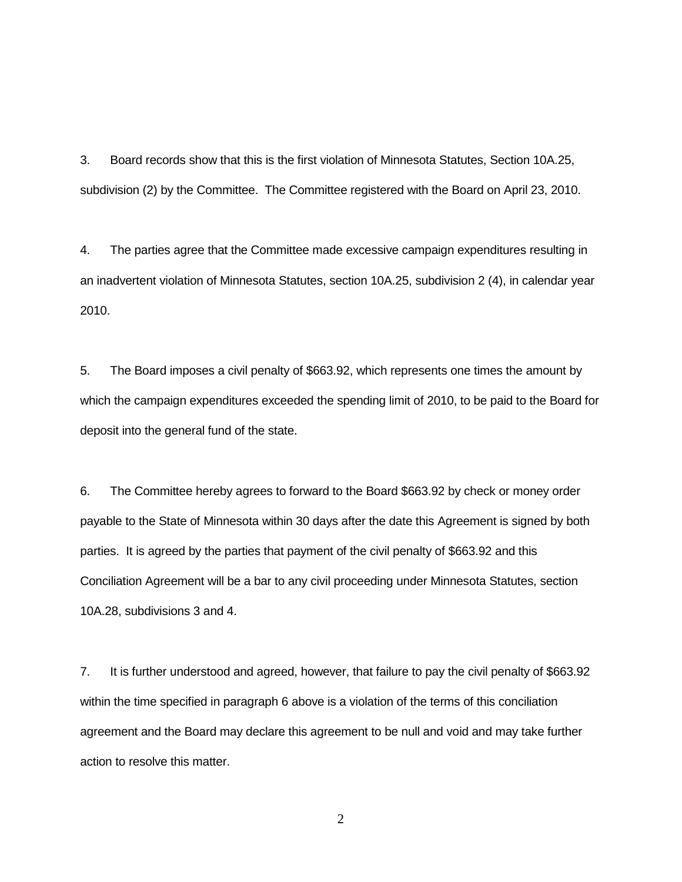3. Board records show that this is the first violation of Minnesota Statutes, Section 10A.25, subdivision (2) by the Committee. The Committee registered with the Board on April 23, 2010.

4. The parties agree that the Committee made excessive campaign expenditures resulting in an inadvertent violation of Minnesota Statutes, section 10A.25, subdivision 2 (4), in calendar year 2010.

5. The Board imposes a civil penalty of \$663.92, which represents one times the amount by which the campaign expenditures exceeded the spending limit of 2010, to be paid to the Board for deposit into the general fund of the state.

6. The Committee hereby agrees to forward to the Board \$663.92 by check or money order payable to the State of Minnesota within 30 days after the date this Agreement is signed by both parties. It is agreed by the parties that payment of the civil penalty of \$663.92 and this Conciliation Agreement will be a bar to any civil proceeding under Minnesota Statutes, section 10A.28, subdivisions 3 and 4.

7. It is further understood and agreed, however, that failure to pay the civil penalty of \$663.92 within the time specified in paragraph 6 above is a violation of the terms of this conciliation agreement and the Board may declare this agreement to be null and void and may take further action to resolve this matter.

2